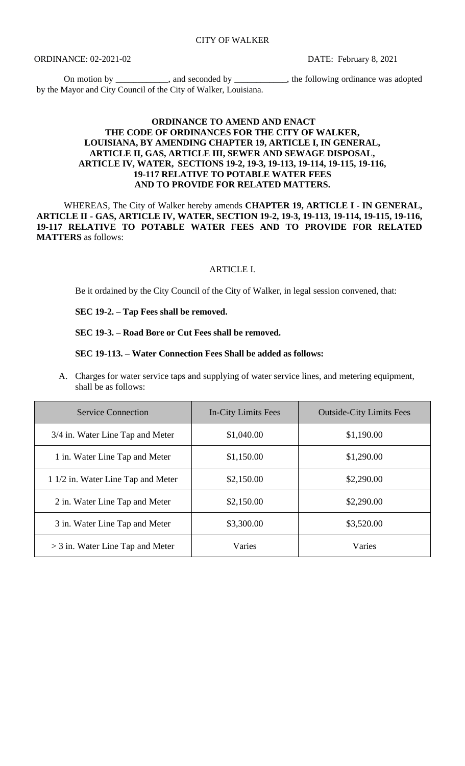On motion by \_\_\_\_\_\_\_\_\_\_, and seconded by \_\_\_\_\_\_\_\_\_, the following ordinance was adopted by the Mayor and City Council of the City of Walker, Louisiana.

### **ORDINANCE TO AMEND AND ENACT THE CODE OF ORDINANCES FOR THE CITY OF WALKER, LOUISIANA, BY AMENDING CHAPTER 19, ARTICLE I, IN GENERAL, ARTICLE II, GAS, ARTICLE III, SEWER AND SEWAGE DISPOSAL, ARTICLE IV, WATER, SECTIONS 19-2, 19-3, 19-113, 19-114, 19-115, 19-116, 19-117 RELATIVE TO POTABLE WATER FEES AND TO PROVIDE FOR RELATED MATTERS.**

WHEREAS, The City of Walker hereby amends **CHAPTER 19, ARTICLE I - IN GENERAL, ARTICLE II - GAS, ARTICLE IV, WATER, SECTION 19-2, 19-3, 19-113, 19-114, 19-115, 19-116, 19-117 RELATIVE TO POTABLE WATER FEES AND TO PROVIDE FOR RELATED MATTERS** as follows:

### ARTICLE I.

Be it ordained by the City Council of the City of Walker, in legal session convened, that:

#### **SEC 19-2. – Tap Fees shall be removed.**

# **SEC 19-3. – Road Bore or Cut Fees shall be removed.**

# **SEC 19-113. – Water Connection Fees Shall be added as follows:**

A. Charges for water service taps and supplying of water service lines, and metering equipment, shall be as follows:

| <b>Service Connection</b>          | In-City Limits Fees | <b>Outside-City Limits Fees</b> |
|------------------------------------|---------------------|---------------------------------|
| 3/4 in. Water Line Tap and Meter   | \$1,040.00          | \$1,190.00                      |
| 1 in. Water Line Tap and Meter     | \$1,150.00          | \$1,290.00                      |
| 1 1/2 in. Water Line Tap and Meter | \$2,150.00          | \$2,290.00                      |
| 2 in. Water Line Tap and Meter     | \$2,150.00          | \$2,290.00                      |
| 3 in. Water Line Tap and Meter     | \$3,300.00          | \$3,520.00                      |
| $>$ 3 in. Water Line Tap and Meter | Varies              | Varies                          |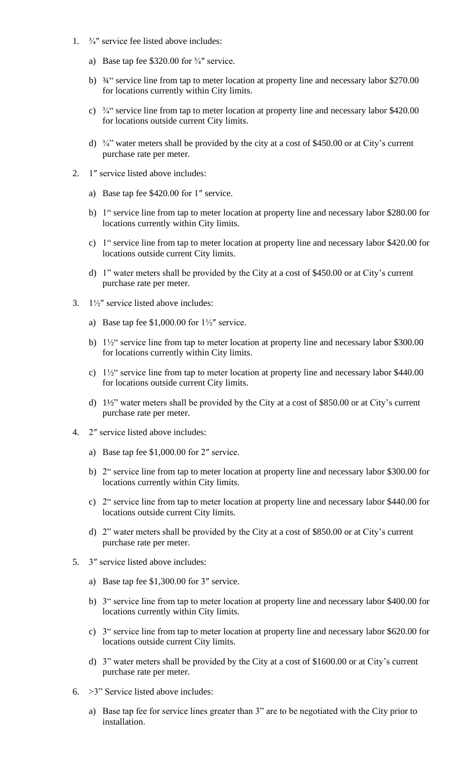- 1. ¾″ service fee listed above includes:
	- a) Base tap fee  $$320.00$  for  $\frac{3}{4}$ " service.
	- b) ¾" service line from tap to meter location at property line and necessary labor \$270.00 for locations currently within City limits.
	- c)  $\frac{3}{4}$  service line from tap to meter location at property line and necessary labor \$420.00 for locations outside current City limits.
	- d)  $\frac{3}{4}$ " water meters shall be provided by the city at a cost of \$450.00 or at City's current purchase rate per meter.
- 2. 1″ service listed above includes:
	- a) Base tap fee \$420.00 for 1″ service.
	- b) 1" service line from tap to meter location at property line and necessary labor \$280.00 for locations currently within City limits.
	- c) 1" service line from tap to meter location at property line and necessary labor \$420.00 for locations outside current City limits.
	- d) 1" water meters shall be provided by the City at a cost of \$450.00 or at City's current purchase rate per meter.
- 3. 1½″ service listed above includes:
	- a) Base tap fee  $$1,000.00$  for  $1\frac{1}{2}$ " service.
	- b) 1½" service line from tap to meter location at property line and necessary labor \$300.00 for locations currently within City limits.
	- c)  $1\frac{1}{2}$  service line from tap to meter location at property line and necessary labor \$440.00 for locations outside current City limits.
	- d) 1½" water meters shall be provided by the City at a cost of \$850.00 or at City's current purchase rate per meter.
- 4. 2″ service listed above includes:
	- a) Base tap fee \$1,000.00 for 2″ service.
	- b) 2" service line from tap to meter location at property line and necessary labor \$300.00 for locations currently within City limits.
	- c) 2" service line from tap to meter location at property line and necessary labor \$440.00 for locations outside current City limits.
	- d) 2" water meters shall be provided by the City at a cost of \$850.00 or at City's current purchase rate per meter.
- 5. 3″ service listed above includes:
	- a) Base tap fee \$1,300.00 for 3″ service.
	- b) 3" service line from tap to meter location at property line and necessary labor \$400.00 for locations currently within City limits.
	- c) 3" service line from tap to meter location at property line and necessary labor \$620.00 for locations outside current City limits.
	- d) 3" water meters shall be provided by the City at a cost of \$1600.00 or at City's current purchase rate per meter.
- 6.  $>3$ " Service listed above includes:
	- a) Base tap fee for service lines greater than 3" are to be negotiated with the City prior to installation.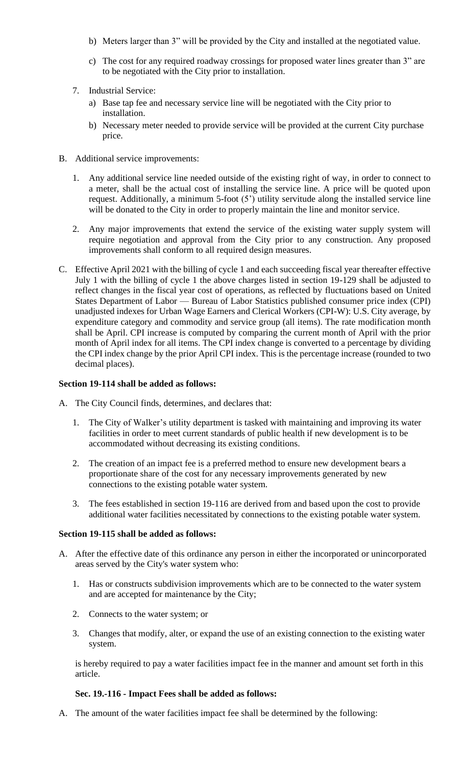- b) Meters larger than 3" will be provided by the City and installed at the negotiated value.
- c) The cost for any required roadway crossings for proposed water lines greater than 3" are to be negotiated with the City prior to installation.
- 7. Industrial Service:
	- a) Base tap fee and necessary service line will be negotiated with the City prior to installation.
	- b) Necessary meter needed to provide service will be provided at the current City purchase price.
- B. Additional service improvements:
	- 1. Any additional service line needed outside of the existing right of way, in order to connect to a meter, shall be the actual cost of installing the service line. A price will be quoted upon request. Additionally, a minimum 5-foot (5') utility servitude along the installed service line will be donated to the City in order to properly maintain the line and monitor service.
	- 2. Any major improvements that extend the service of the existing water supply system will require negotiation and approval from the City prior to any construction. Any proposed improvements shall conform to all required design measures.
- C. Effective April 2021 with the billing of cycle 1 and each succeeding fiscal year thereafter effective July 1 with the billing of cycle 1 the above charges listed in section 19-129 shall be adjusted to reflect changes in the fiscal year cost of operations, as reflected by fluctuations based on United States Department of Labor — Bureau of Labor Statistics published consumer price index (CPI) unadjusted indexes for Urban Wage Earners and Clerical Workers (CPI-W): U.S. City average, by expenditure category and commodity and service group (all items). The rate modification month shall be April. CPI increase is computed by comparing the current month of April with the prior month of April index for all items. The CPI index change is converted to a percentage by dividing the CPI index change by the prior April CPI index. This is the percentage increase (rounded to two decimal places).

# **Section 19-114 shall be added as follows:**

- A. The City Council finds, determines, and declares that:
	- 1. The City of Walker's utility department is tasked with maintaining and improving its water facilities in order to meet current standards of public health if new development is to be accommodated without decreasing its existing conditions.
	- 2. The creation of an impact fee is a preferred method to ensure new development bears a proportionate share of the cost for any necessary improvements generated by new connections to the existing potable water system.
	- 3. The fees established in section 19-116 are derived from and based upon the cost to provide additional water facilities necessitated by connections to the existing potable water system.

## **Section 19-115 shall be added as follows:**

- A. After the effective date of this ordinance any person in either the incorporated or unincorporated areas served by the City's water system who:
	- 1. Has or constructs subdivision improvements which are to be connected to the water system and are accepted for maintenance by the City;
	- 2. Connects to the water system; or
	- 3. Changes that modify, alter, or expand the use of an existing connection to the existing water system.

is hereby required to pay a water facilities impact fee in the manner and amount set forth in this article.

## **Sec. 19.-116 - Impact Fees shall be added as follows:**

A. The amount of the water facilities impact fee shall be determined by the following: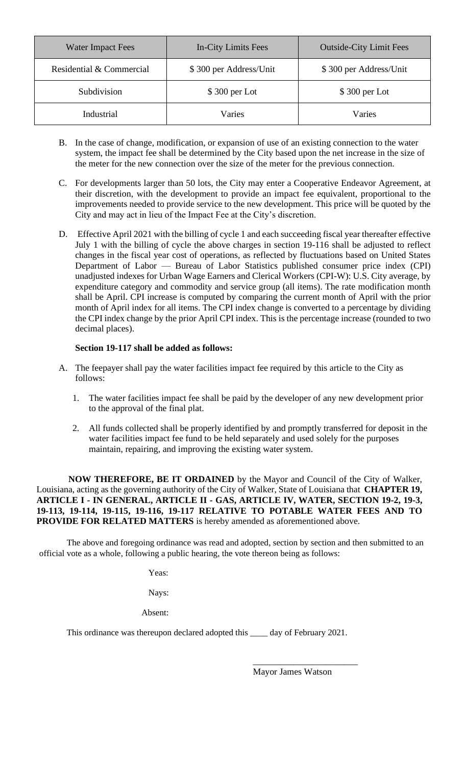| <b>Water Impact Fees</b> | In-City Limits Fees    | <b>Outside-City Limit Fees</b> |
|--------------------------|------------------------|--------------------------------|
| Residential & Commercial | \$300 per Address/Unit | \$300 per Address/Unit         |
| Subdivision              | $$300$ per Lot         | \$300 per Lot                  |
| Industrial               | Varies                 | Varies                         |

- B. In the case of change, modification, or expansion of use of an existing connection to the water system, the impact fee shall be determined by the City based upon the net increase in the size of the meter for the new connection over the size of the meter for the previous connection.
- C. For developments larger than 50 lots, the City may enter a Cooperative Endeavor Agreement, at their discretion, with the development to provide an impact fee equivalent, proportional to the improvements needed to provide service to the new development. This price will be quoted by the City and may act in lieu of the Impact Fee at the City's discretion.
- D. Effective April 2021 with the billing of cycle 1 and each succeeding fiscal year thereafter effective July 1 with the billing of cycle the above charges in section 19-116 shall be adjusted to reflect changes in the fiscal year cost of operations, as reflected by fluctuations based on United States Department of Labor — Bureau of Labor Statistics published consumer price index (CPI) unadjusted indexes for Urban Wage Earners and Clerical Workers (CPI-W): U.S. City average, by expenditure category and commodity and service group (all items). The rate modification month shall be April. CPI increase is computed by comparing the current month of April with the prior month of April index for all items. The CPI index change is converted to a percentage by dividing the CPI index change by the prior April CPI index. This is the percentage increase (rounded to two decimal places).

# **Section 19-117 shall be added as follows:**

- A. The feepayer shall pay the water facilities impact fee required by this article to the City as follows:
	- 1. The water facilities impact fee shall be paid by the developer of any new development prior to the approval of the final plat.
	- 2. All funds collected shall be properly identified by and promptly transferred for deposit in the water facilities impact fee fund to be held separately and used solely for the purposes maintain, repairing, and improving the existing water system.

**NOW THEREFORE, BE IT ORDAINED** by the Mayor and Council of the City of Walker, Louisiana, acting as the governing authority of the City of Walker, State of Louisiana that **CHAPTER 19, ARTICLE I - IN GENERAL, ARTICLE II - GAS, ARTICLE IV, WATER, SECTION 19-2, 19-3, 19-113, 19-114, 19-115, 19-116, 19-117 RELATIVE TO POTABLE WATER FEES AND TO PROVIDE FOR RELATED MATTERS** is hereby amended as aforementioned above.

The above and foregoing ordinance was read and adopted, section by section and then submitted to an official vote as a whole, following a public hearing, the vote thereon being as follows:

Yeas:

Nays:

Absent:

This ordinance was thereupon declared adopted this \_\_\_\_ day of February 2021.

Mayor James Watson

\_\_\_\_\_\_\_\_\_\_\_\_\_\_\_\_\_\_\_\_\_\_\_